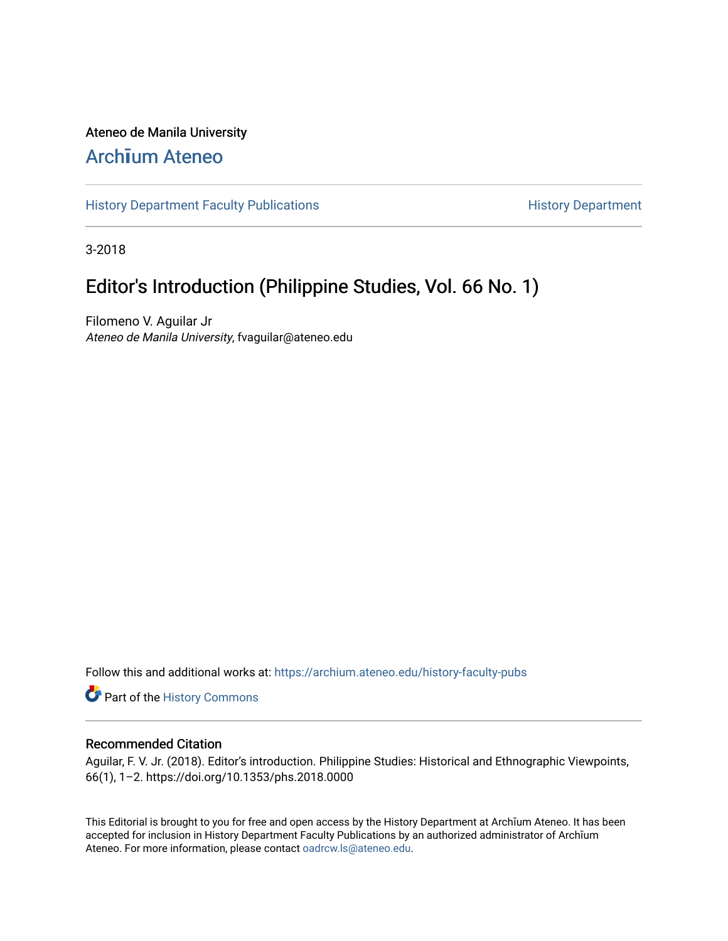#### Ateneo de Manila University

## Arch**ī**[um Ateneo](https://archium.ateneo.edu/)

[History Department Faculty Publications](https://archium.ateneo.edu/history-faculty-pubs) **History Department** History Department

3-2018

## Editor's Introduction (Philippine Studies, Vol. 66 No. 1)

Filomeno V. Aguilar Jr Ateneo de Manila University, fvaguilar@ateneo.edu

Follow this and additional works at: [https://archium.ateneo.edu/history-faculty-pubs](https://archium.ateneo.edu/history-faculty-pubs?utm_source=archium.ateneo.edu%2Fhistory-faculty-pubs%2F79&utm_medium=PDF&utm_campaign=PDFCoverPages)

Part of the [History Commons](http://network.bepress.com/hgg/discipline/489?utm_source=archium.ateneo.edu%2Fhistory-faculty-pubs%2F79&utm_medium=PDF&utm_campaign=PDFCoverPages) 

#### Recommended Citation

Aguilar, F. V. Jr. (2018). Editor's introduction. Philippine Studies: Historical and Ethnographic Viewpoints, 66(1), 1–2. https://doi.org/10.1353/phs.2018.0000

This Editorial is brought to you for free and open access by the History Department at Archīum Ateneo. It has been accepted for inclusion in History Department Faculty Publications by an authorized administrator of Archīum Ateneo. For more information, please contact [oadrcw.ls@ateneo.edu.](mailto:oadrcw.ls@ateneo.edu)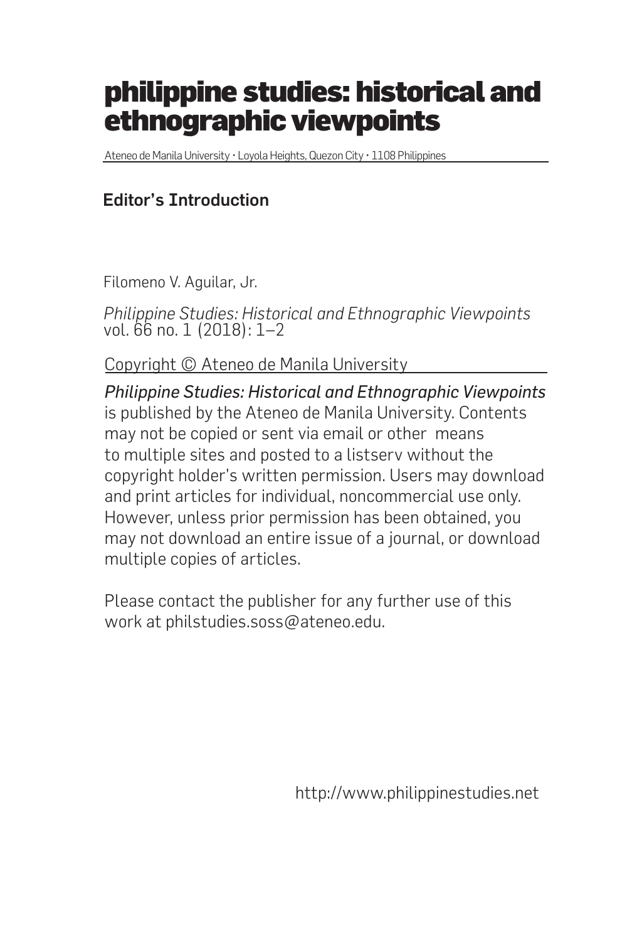# philippine studies: historical and ethnographic viewpoints

Ateneo de Manila University • Loyola Heights, Quezon City • 1108 Philippines

### Editor's Introduction

Filomeno V. Aguilar, Jr.

*Philippine Studies: Historical and Ethnographic Viewpoints* vol. 66 no. 1 (2018): 1–2

Copyright © Ateneo de Manila University

*Philippine Studies: Historical and Ethnographic Viewpoints* is published by the Ateneo de Manila University. Contents may not be copied or sent via email or other means to multiple sites and posted to a listserv without the copyright holder's written permission. Users may download and print articles for individual, noncommercial use only. However, unless prior permission has been obtained, you may not download an entire issue of a journal, or download multiple copies of articles.

Please contact the publisher for any further use of this work at philstudies.soss@ateneo.edu.

http://www.philippinestudies.net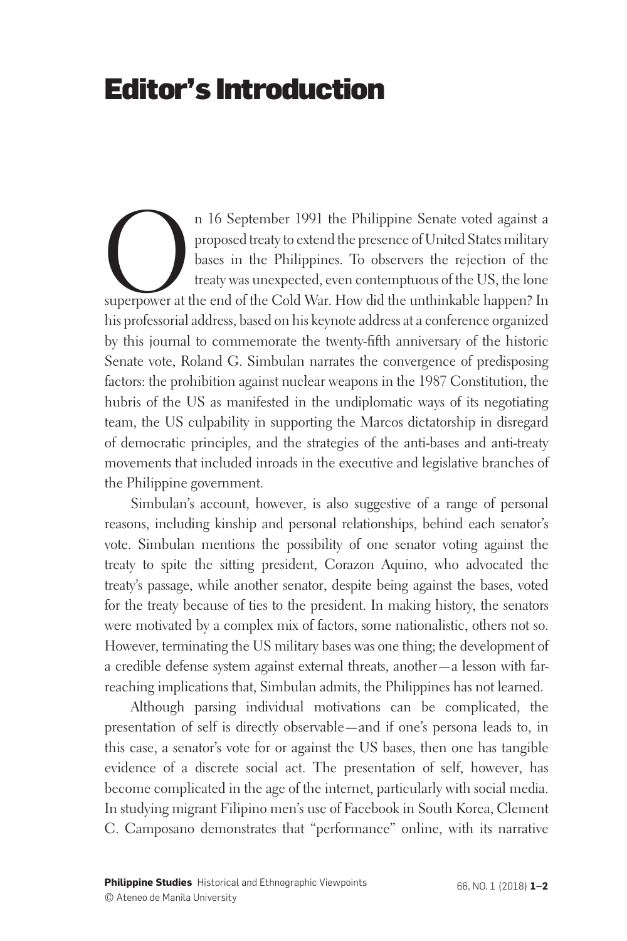## Editor's Introduction

n 16 September 1991 the Philippine Senate voted against a proposed treaty to extend the presence of United States military bases in the Philippines. To observers the rejection of the treaty was unexpected, even contemptuou proposed treaty to extend the presence of United States military bases in the Philippines. To observers the rejection of the treaty was unexpected, even contemptuous of the US, the lone superpower at the end of the Cold War. How did the unthinkable happen? In his professorial address, based on his keynote address at a conference organized by this journal to commemorate the twenty-fifth anniversary of the historic Senate vote, Roland G. Simbulan narrates the convergence of predisposing factors: the prohibition against nuclear weapons in the 1987 Constitution, the hubris of the US as manifested in the undiplomatic ways of its negotiating team, the US culpability in supporting the Marcos dictatorship in disregard of democratic principles, and the strategies of the anti-bases and anti-treaty movements that included inroads in the executive and legislative branches of the Philippine government.

Simbulan's account, however, is also suggestive of a range of personal reasons, including kinship and personal relationships, behind each senator's vote. Simbulan mentions the possibility of one senator voting against the treaty to spite the sitting president, Corazon Aquino, who advocated the treaty's passage, while another senator, despite being against the bases, voted for the treaty because of ties to the president. In making history, the senators were motivated by a complex mix of factors, some nationalistic, others not so. However, terminating the US military bases was one thing; the development of a credible defense system against external threats, another—a lesson with farreaching implications that, Simbulan admits, the Philippines has not learned.

Although parsing individual motivations can be complicated, the presentation of self is directly observable—and if one's persona leads to, in this case, a senator's vote for or against the US bases, then one has tangible evidence of a discrete social act. The presentation of self, however, has become complicated in the age of the internet, particularly with social media. In studying migrant Filipino men's use of Facebook in South Korea, Clement C. Camposano demonstrates that "performance" online, with its narrative